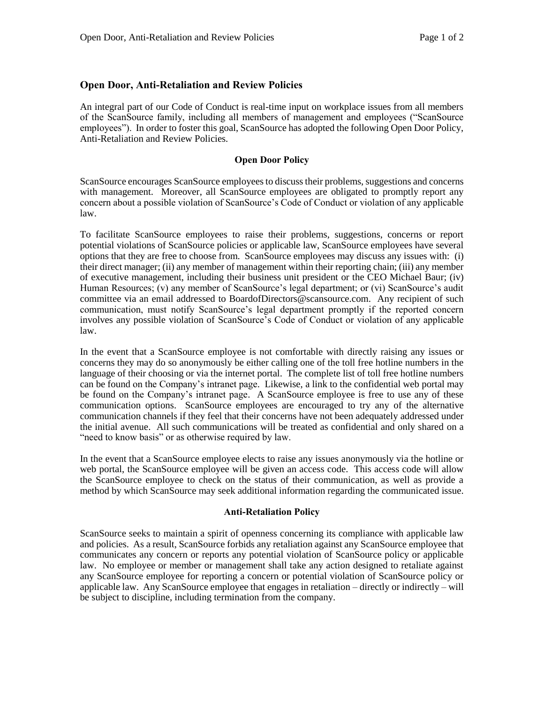## **Open Door, Anti-Retaliation and Review Policies**

An integral part of our Code of Conduct is real-time input on workplace issues from all members of the ScanSource family, including all members of management and employees ("ScanSource employees"). In order to foster this goal, ScanSource has adopted the following Open Door Policy, Anti-Retaliation and Review Policies.

### **Open Door Policy**

ScanSource encourages ScanSource employees to discuss their problems, suggestions and concerns with management. Moreover, all ScanSource employees are obligated to promptly report any concern about a possible violation of ScanSource's Code of Conduct or violation of any applicable law.

To facilitate ScanSource employees to raise their problems, suggestions, concerns or report potential violations of ScanSource policies or applicable law, ScanSource employees have several options that they are free to choose from. ScanSource employees may discuss any issues with: (i) their direct manager; (ii) any member of management within their reporting chain; (iii) any member of executive management, including their business unit president or the CEO Michael Baur; (iv) Human Resources; (v) any member of ScanSource's legal department; or (vi) ScanSource's audit committee via an email addressed to BoardofDirectors@scansource.com. Any recipient of such communication, must notify ScanSource's legal department promptly if the reported concern involves any possible violation of ScanSource's Code of Conduct or violation of any applicable law.

In the event that a ScanSource employee is not comfortable with directly raising any issues or concerns they may do so anonymously be either calling one of the toll free hotline numbers in the language of their choosing or via the internet portal. The complete list of toll free hotline numbers can be found on the Company's intranet page. Likewise, a link to the confidential web portal may be found on the Company's intranet page. A ScanSource employee is free to use any of these communication options. ScanSource employees are encouraged to try any of the alternative communication channels if they feel that their concerns have not been adequately addressed under the initial avenue. All such communications will be treated as confidential and only shared on a "need to know basis" or as otherwise required by law.

In the event that a ScanSource employee elects to raise any issues anonymously via the hotline or web portal, the ScanSource employee will be given an access code. This access code will allow the ScanSource employee to check on the status of their communication, as well as provide a method by which ScanSource may seek additional information regarding the communicated issue.

#### **Anti-Retaliation Policy**

ScanSource seeks to maintain a spirit of openness concerning its compliance with applicable law and policies. As a result, ScanSource forbids any retaliation against any ScanSource employee that communicates any concern or reports any potential violation of ScanSource policy or applicable law. No employee or member or management shall take any action designed to retaliate against any ScanSource employee for reporting a concern or potential violation of ScanSource policy or applicable law. Any ScanSource employee that engages in retaliation – directly or indirectly – will be subject to discipline, including termination from the company.